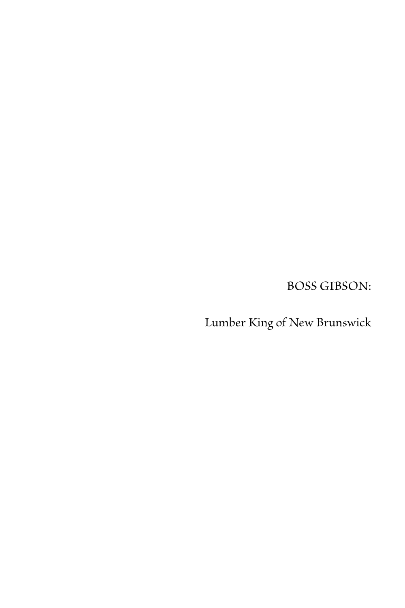BOSS GIBSON:

Lumber King of New Brunswick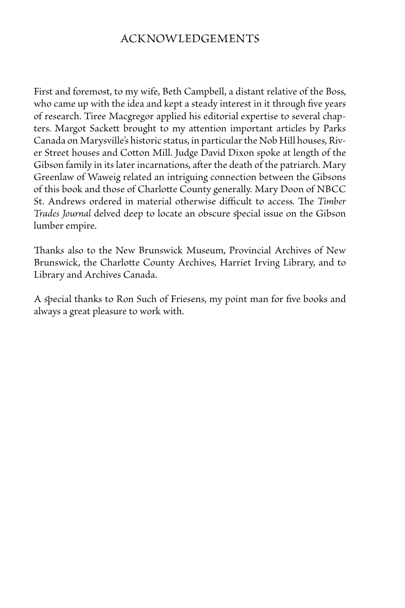## Acknowledgements

First and foremost, to my wife, Beth Campbell, a distant relative of the Boss, who came up with the idea and kept a steady interest in it through five years of research. Tiree Macgregor applied his editorial expertise to several chapters. Margot Sackett brought to my attention important articles by Parks Canada on Marysville's historic status, in particular the Nob Hill houses, River Street houses and Cotton Mill. Judge David Dixon spoke at length of the Gibson family in its later incarnations, after the death of the patriarch. Mary Greenlaw of Waweig related an intriguing connection between the Gibsons of this book and those of Charlotte County generally. Mary Doon of NBCC St. Andrews ordered in material otherwise difficult to access. The *Timber Trades Journal* delved deep to locate an obscure special issue on the Gibson lumber empire.

Thanks also to the New Brunswick Museum, Provincial Archives of New Brunswick, the Charlotte County Archives, Harriet Irving Library, and to Library and Archives Canada.

A special thanks to Ron Such of Friesens, my point man for five books and always a great pleasure to work with.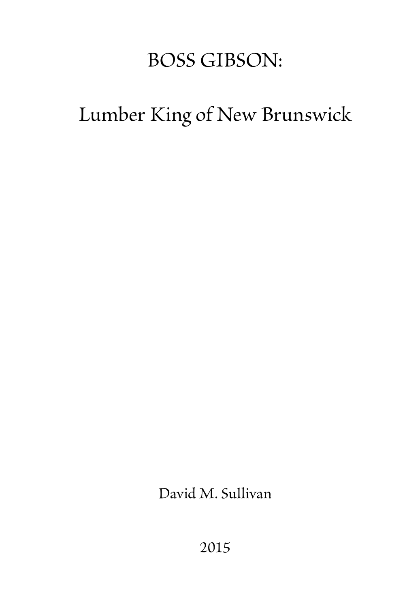## BOSS GIBSON:

## Lumber King of New Brunswick

David M. Sullivan

2015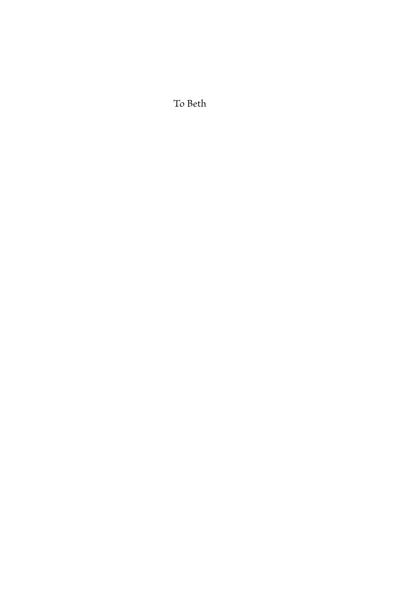To Beth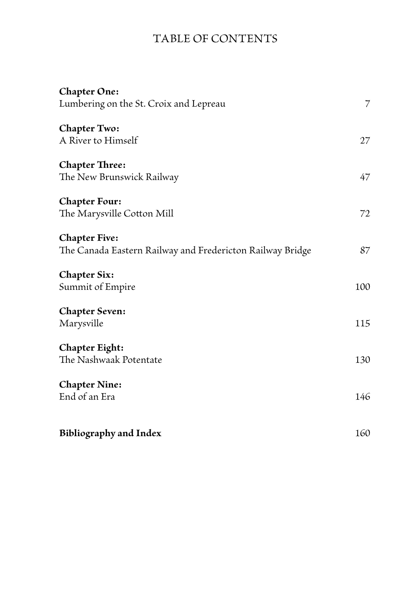## Table of Contents

| <b>Chapter One:</b><br>Lumbering on the St. Croix and Lepreau<br>Chapter Two:<br>A River to Himself<br><b>Chapter Three:</b><br>The New Brunswick Railway<br><b>Chapter Four:</b> | $\overline{7}$<br>27<br>47 |                                                           |     |
|-----------------------------------------------------------------------------------------------------------------------------------------------------------------------------------|----------------------------|-----------------------------------------------------------|-----|
|                                                                                                                                                                                   |                            | The Marysville Cotton Mill                                | 72  |
|                                                                                                                                                                                   |                            | <b>Chapter Five:</b>                                      |     |
|                                                                                                                                                                                   |                            | The Canada Eastern Railway and Fredericton Railway Bridge | 87  |
|                                                                                                                                                                                   |                            | <b>Chapter Six:</b>                                       |     |
|                                                                                                                                                                                   |                            | Summit of Empire                                          | 100 |
|                                                                                                                                                                                   |                            | <b>Chapter Seven:</b><br>Marysville<br>Chapter Eight:     | 115 |
| The Nashwaak Potentate                                                                                                                                                            | 130                        |                                                           |     |
| <b>Chapter Nine:</b>                                                                                                                                                              |                            |                                                           |     |
| End of an Era                                                                                                                                                                     | 146                        |                                                           |     |
|                                                                                                                                                                                   | 160                        |                                                           |     |
| <b>Bibliography and Index</b>                                                                                                                                                     |                            |                                                           |     |